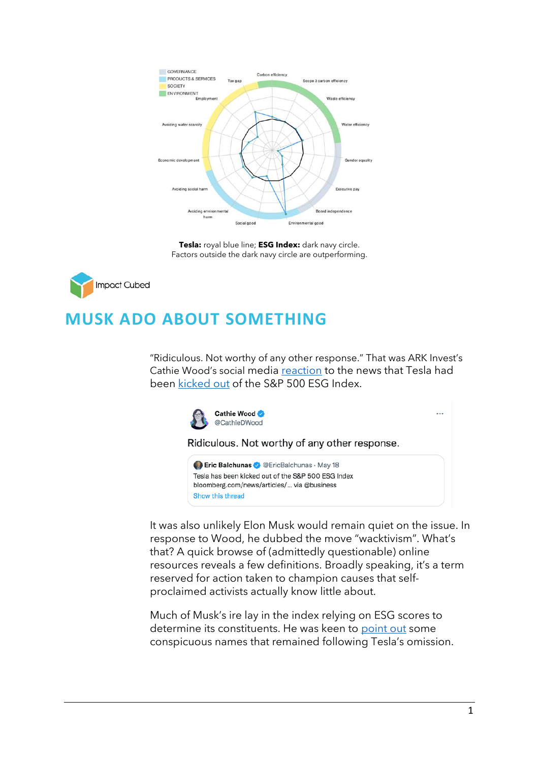

**Tesla:** royal blue line; **ESG Index:** dark navy circle. Factors outside the dark navy circle are outperforming.

**Impact Cubed** 

## **MUSK ADO ABOUT SOMETHING**

"Ridiculous. Not worthy of any other response." That was ARK Invest's Cathie Wood's social media [reaction](https://twitter.com/CathieDWood/status/1527118883290742786) to the news that Tesla had been [kicked out](https://www.barrons.com/articles/tesla-sp-esg-index-sustainability-ratings-51653011864) of the S&P 500 ESG Index.



Show this thread

It was also unlikely Elon Musk would remain quiet on the issue. In response to Wood, he dubbed the move "wacktivism". What's that? A quick browse of (admittedly questionable) online resources reveals a few definitions. Broadly speaking, it's a term reserved for action taken to champion causes that selfproclaimed activists actually know little about.

Much of Musk's ire lay in the index relying on ESG scores to determine its constituents. He was keen to [point out](https://twitter.com/elonmusk/status/1526958110023245829) some conspicuous names that remained following Tesla's omission.

 $\overline{\phantom{a}}$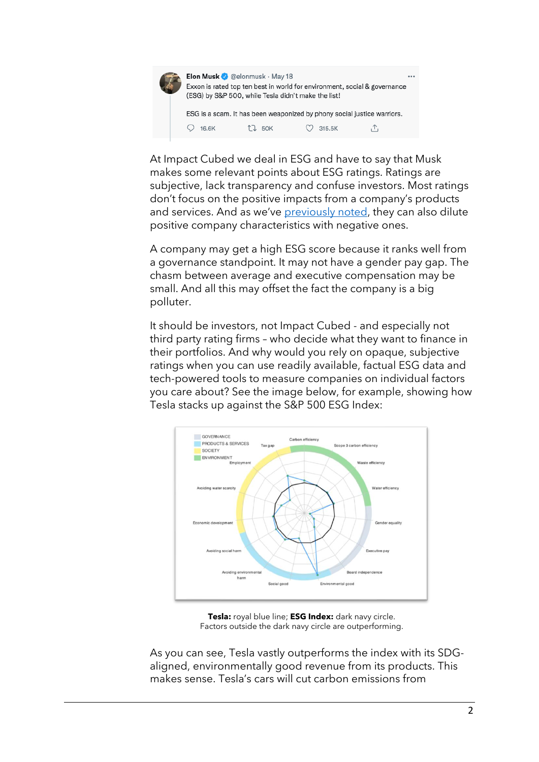

At Impact Cubed we deal in ESG and have to say that Musk makes some relevant points about ESG ratings. Ratings are subjective, lack transparency and confuse investors. Most ratings don't focus on the positive impacts from a company's products and services. And as we've [previously noted,](https://www.impact-cubed.com/publication?file=ESG_Would%20you%20mix%20red%20and%20white%20wine%20in%20a%20glass_Impact%20Cubed_11May%202021.pdf) they can also dilute positive company characteristics with negative ones.

A company may get a high ESG score because it ranks well from a governance standpoint. It may not have a gender pay gap. The chasm between average and executive compensation may be small. And all this may offset the fact the company is a big polluter.

It should be investors, not Impact Cubed - and especially not third party rating firms – who decide what they want to finance in their portfolios. And why would you rely on opaque, subjective ratings when you can use readily available, factual ESG data and tech-powered tools to measure companies on individual factors you care about? See the image below, for example, showing how Tesla stacks up against the S&P 500 ESG Index:



**Tesla:** royal blue line; **ESG Index:** dark navy circle. Factors outside the dark navy circle are outperforming.

As you can see, Tesla vastly outperforms the index with its SDGaligned, environmentally good revenue from its products. This makes sense. Tesla's cars will cut carbon emissions from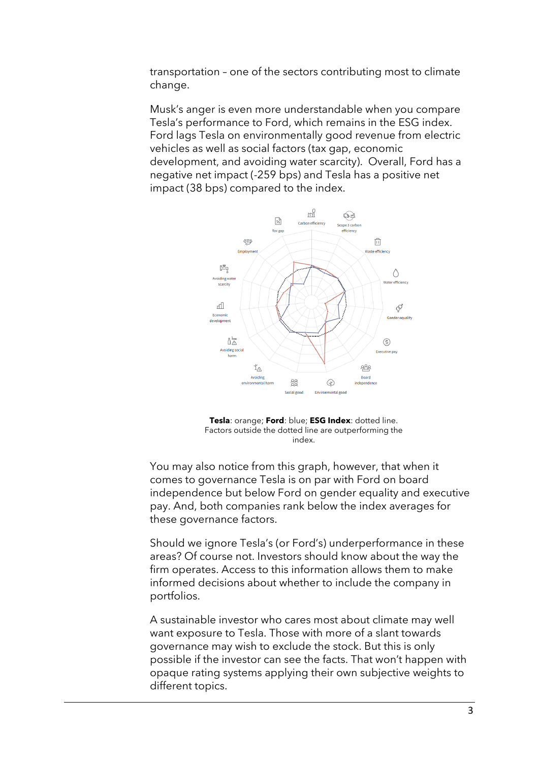transportation – one of the sectors contributing most to climate change.

Musk's anger is even more understandable when you compare Tesla's performance to Ford, which remains in the ESG index. Ford lags Tesla on environmentally good revenue from electric vehicles as well as social factors (tax gap, economic development, and avoiding water scarcity). Overall, Ford has a negative net impact (-259 bps) and Tesla has a positive net impact (38 bps) compared to the index.



**Tesla**: orange; **Ford**: blue; **ESG Index**: dotted line. Factors outside the dotted line are outperforming the index.

You may also notice from this graph, however, that when it comes to governance Tesla is on par with Ford on board independence but below Ford on gender equality and executive pay. And, both companies rank below the index averages for these governance factors.

Should we ignore Tesla's (or Ford's) underperformance in these areas? Of course not. Investors should know about the way the firm operates. Access to this information allows them to make informed decisions about whether to include the company in portfolios.

A sustainable investor who cares most about climate may well want exposure to Tesla. Those with more of a slant towards governance may wish to exclude the stock. But this is only possible if the investor can see the facts. That won't happen with opaque rating systems applying their own subjective weights to different topics.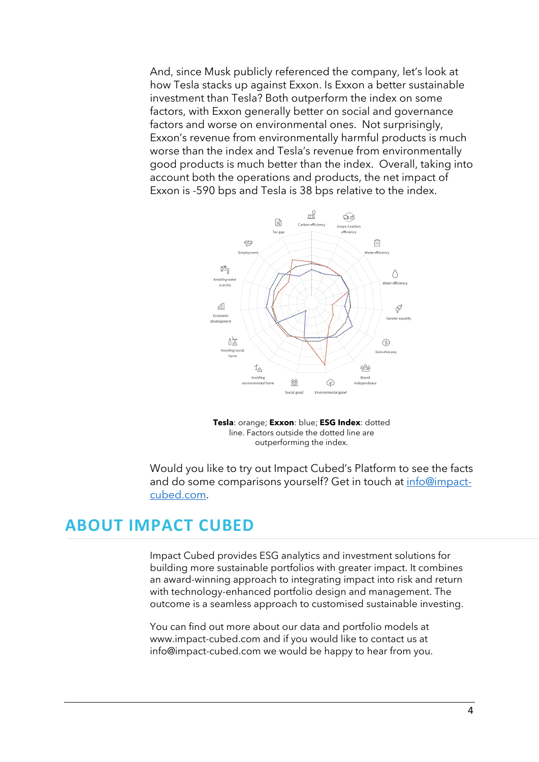And, since Musk publicly referenced the company, let's look at how Tesla stacks up against Exxon. Is Exxon a better sustainable investment than Tesla? Both outperform the index on some factors, with Exxon generally better on social and governance factors and worse on environmental ones. Not surprisingly, Exxon's revenue from environmentally harmful products is much worse than the index and Tesla's revenue from environmentally good products is much better than the index. Overall, taking into account both the operations and products, the net impact of Exxon is -590 bps and Tesla is 38 bps relative to the index.



**Tesla**: orange; **Exxon**: blue; **ESG Index**: dotted line. Factors outside the dotted line are outperforming the index.

Would you like to try out Impact Cubed's Platform to see the facts and do some comparisons yourself? Get in touch at [info@impact](mailto:info@impact-cubed.com)[cubed.com.](mailto:info@impact-cubed.com)

## **ABOUT IMPACT CUBED**

Impact Cubed provides ESG analytics and investment solutions for building more sustainable portfolios with greater impact. It combines an award-winning approach to integrating impact into risk and return with technology-enhanced portfolio design and management. The outcome is a seamless approach to customised sustainable investing.

You can find out more about our data and portfolio models at [www.impact-cubed.com](http://www.impact-cubed.com/) and if you would like to contact us at [info@impact-cubed.com](mailto:info@impact-cubed.com) we would be happy to hear from you.